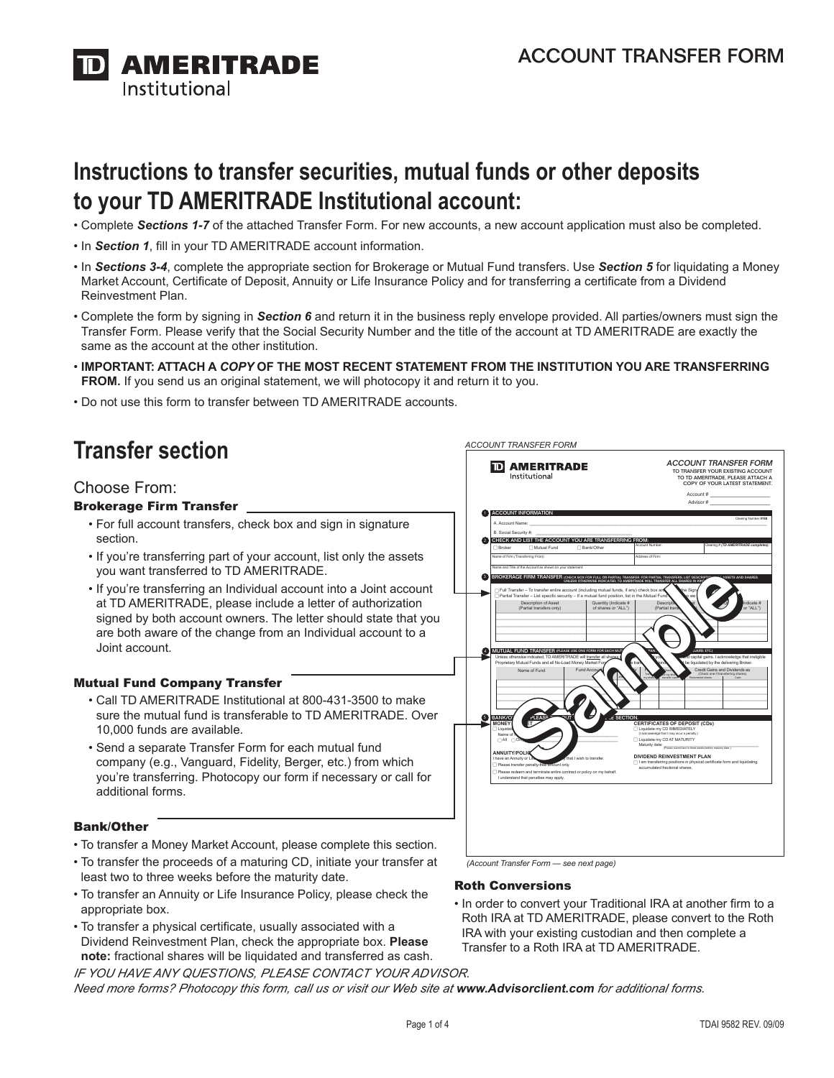

# **Instructions to transfer securities, mutual funds or other deposits to your TD AMERITRADE Institutional account:**

- Complete *Sections 1-7* of the attached Transfer Form. For new accounts, a new account application must also be completed.
- In *Section 1*, fill in your TD AMERITRADE account information.
- In *Sections 3-4*, complete the appropriate section for Brokerage or Mutual Fund transfers. Use *Section 5* for liquidating a Money Market Account, Certificate of Deposit, Annuity or Life Insurance Policy and for transferring a certificate from a Dividend Reinvestment Plan.
- Complete the form by signing in *Section 6* and return it in the business reply envelope provided. All parties/owners must sign the Transfer Form. Please verify that the Social Security Number and the title of the account at TD AMERITRADE are exactly the same as the account at the other institution.
- . IMPORTANT: ATTACH A COPY OF THE MOST RECENT STATEMENT FROM THE INSTITUTION YOU ARE TRANSFERRING FROM. If you send us an original statement, we will photocopy it and return it to you.
- Do not use this form to transfer between TD AMERITRADE accounts.

# **Transfer section**

### Choose From:

#### Brokerage Firm Transfer

- For full account transfers, check box and sign in signature section.
- If you're transferring part of your account, list only the assets you want transferred to TD AMERITRADE.
- If you're transferring an Individual account into a Joint account at TD AMERITRADE, please include a letter of authorization signed by both account owners. The letter should state that you are both aware of the change from an Individual account to a Joint account.

#### Mutual Fund Company Transfer

- Call TD AMERITRADE Institutional at 800-431-3500 to make sure the mutual fund is transferable to TD AMERITRADE. Over 10,000 funds are available.
- Send a separate Transfer Form for each mutual fund company (e.g., Vanguard, Fidelity, Berger, etc.) from which you're transferring. Photocopy our form if necessary or call for additional forms.

#### Bank/Other

- To transfer a Money Market Account, please complete this section.
- To transfer the proceeds of a maturing CD, initiate your transfer at least two to three weeks before the maturity date.
- To transfer an Annuity or Life Insurance Policy, please check the appropriate box.
- To transfer a physical certificate, usually associated with a Dividend Reinvestment Plan, check the appropriate box. **Please note:** fractional shares will be liquidated and transferred as cash.



*(Account Transfer Form — see next page)*

#### Roth Conversions

*ACCOUNT TRANSFER FORM*

• In order to convert your Traditional IRA at another firm to a Roth IRA at TD AMERITRADE, please convert to the Roth IRA with your existing custodian and then complete a Transfer to a Roth IRA at TD AMERITRADE.

*IF YOU HAVE ANY QUESTIONS, PLEASE Contact your advisor. Need more forms? Photocopy this form, call us or visit our Web site at* **www.Advisorclient.com** *for additional forms.*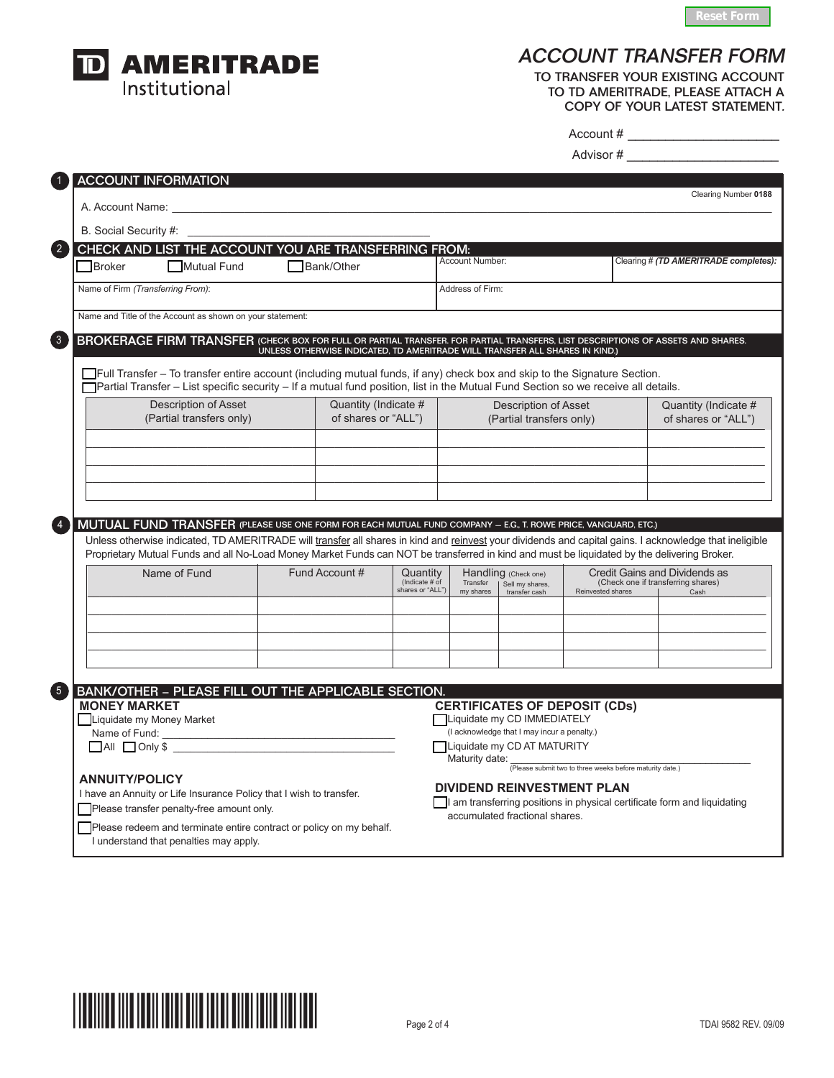



C

 $\overline{\phantom{a}}$ 

## ACCOUNT TRANSFER FORM

To transfer your existing account to td AMERITRADE, Please attach a COPY OF YOUR LATEST STATEMENT.

| Account # |  |  |  |  |  |  |  |  |
|-----------|--|--|--|--|--|--|--|--|
|           |  |  |  |  |  |  |  |  |

Advisor # \_\_\_\_\_\_\_\_\_\_\_\_\_\_\_\_\_\_\_\_

| <b>ACCOUNT INFORMATION</b><br>A. Account Name:                                                                                                                                                                                                                                                         |  |                                                                              |                                                |                                                         |                                                                            |                   | Clearing Number 0188                                                        |
|--------------------------------------------------------------------------------------------------------------------------------------------------------------------------------------------------------------------------------------------------------------------------------------------------------|--|------------------------------------------------------------------------------|------------------------------------------------|---------------------------------------------------------|----------------------------------------------------------------------------|-------------------|-----------------------------------------------------------------------------|
|                                                                                                                                                                                                                                                                                                        |  |                                                                              |                                                |                                                         |                                                                            |                   |                                                                             |
| B. Social Security #:<br>CHECK AND LIST THE ACCOUNT YOU ARE TRANSFERRING FROM:                                                                                                                                                                                                                         |  |                                                                              |                                                |                                                         |                                                                            |                   |                                                                             |
| Broker<br>Mutual Fund                                                                                                                                                                                                                                                                                  |  | □ Bank/Other                                                                 |                                                | Account Number:                                         |                                                                            |                   | Clearing # (TD AMERITRADE completes):                                       |
| Name of Firm (Transferring From):                                                                                                                                                                                                                                                                      |  |                                                                              |                                                | Address of Firm:                                        |                                                                            |                   |                                                                             |
| Name and Title of the Account as shown on your statement:                                                                                                                                                                                                                                              |  |                                                                              |                                                |                                                         |                                                                            |                   |                                                                             |
| BROKERAGE FIRM TRANSFER (CHECK BOX FOR FULL OR PARTIAL TRANSFER. FOR PARTIAL TRANSFERS, LIST DESCRIPTIONS OF ASSETS AND SHARES.                                                                                                                                                                        |  | UNLESS OTHERWISE INDICATED, TD AMERITRADE WILL TRANSFER ALL SHARES IN KIND.) |                                                |                                                         |                                                                            |                   |                                                                             |
| TFull Transfer – To transfer entire account (including mutual funds, if any) check box and skip to the Signature Section.<br>TPartial Transfer – List specific security – If a mutual fund position, list in the Mutual Fund Section so we receive all details.                                        |  |                                                                              |                                                |                                                         |                                                                            |                   |                                                                             |
| Description of Asset<br>(Partial transfers only)                                                                                                                                                                                                                                                       |  | Quantity (Indicate #<br>of shares or "ALL")                                  |                                                | <b>Description of Asset</b><br>(Partial transfers only) |                                                                            |                   | Quantity (Indicate #<br>of shares or "ALL")                                 |
|                                                                                                                                                                                                                                                                                                        |  |                                                                              |                                                |                                                         |                                                                            |                   |                                                                             |
|                                                                                                                                                                                                                                                                                                        |  |                                                                              |                                                |                                                         |                                                                            |                   |                                                                             |
|                                                                                                                                                                                                                                                                                                        |  |                                                                              |                                                |                                                         |                                                                            |                   |                                                                             |
|                                                                                                                                                                                                                                                                                                        |  |                                                                              |                                                |                                                         |                                                                            |                   |                                                                             |
| MUTUAL FUND TRANSFER (PLEASE USE ONE FORM FOR EACH MUTUAL FUND COMPANY – E.G., T. ROWE PRICE, VANGUARD, ETC.)                                                                                                                                                                                          |  |                                                                              |                                                |                                                         |                                                                            |                   |                                                                             |
| Name of Fund                                                                                                                                                                                                                                                                                           |  | Fund Account #                                                               | Quantity<br>(Indicate # of<br>shares or "ALL") | Transfer<br>my shares                                   | Handling (Check one)<br>Sell my shares,<br>transfer cash                   | Reinvested shares | Credit Gains and Dividends as<br>(Check one if transferring shares)<br>Cash |
| Unless otherwise indicated, TD AMERITRADE will transfer all shares in kind and reinvest your dividends and capital gains. I acknowledge that ineligible<br>Proprietary Mutual Funds and all No-Load Money Market Funds can NOT be transferred in kind and must be liquidated by the delivering Broker. |  |                                                                              |                                                |                                                         |                                                                            |                   |                                                                             |
|                                                                                                                                                                                                                                                                                                        |  |                                                                              |                                                |                                                         |                                                                            |                   |                                                                             |
|                                                                                                                                                                                                                                                                                                        |  |                                                                              |                                                |                                                         |                                                                            |                   |                                                                             |
|                                                                                                                                                                                                                                                                                                        |  |                                                                              |                                                |                                                         |                                                                            |                   |                                                                             |
| BANK/OTHER - PLEASE FILL OUT THE APPLICABLE SECTION.<br><b>MONEY MARKET</b>                                                                                                                                                                                                                            |  |                                                                              |                                                |                                                         | <b>CERTIFICATES OF DEPOSIT (CDs)</b>                                       |                   |                                                                             |
| Liquidate my Money Market<br>Name of Fund: Name of Fund:                                                                                                                                                                                                                                               |  |                                                                              |                                                |                                                         | Liquidate my CD IMMEDIATELY<br>(I acknowledge that I may incur a penalty.) |                   |                                                                             |
| $\Box$ All $\Box$ Only \$                                                                                                                                                                                                                                                                              |  |                                                                              |                                                | Maturity date:                                          | Liquidate my CD AT MATURITY                                                |                   |                                                                             |
| <b>ANNUITY/POLICY</b>                                                                                                                                                                                                                                                                                  |  |                                                                              |                                                |                                                         | (Please submit two to three weeks before maturity date.)                   |                   |                                                                             |
| I have an Annuity or Life Insurance Policy that I wish to transfer.<br>Please transfer penalty-free amount only.                                                                                                                                                                                       |  |                                                                              |                                                |                                                         | <b>DIVIDEND REINVESTMENT PLAN</b>                                          |                   | I am transferring positions in physical certificate form and liquidating    |

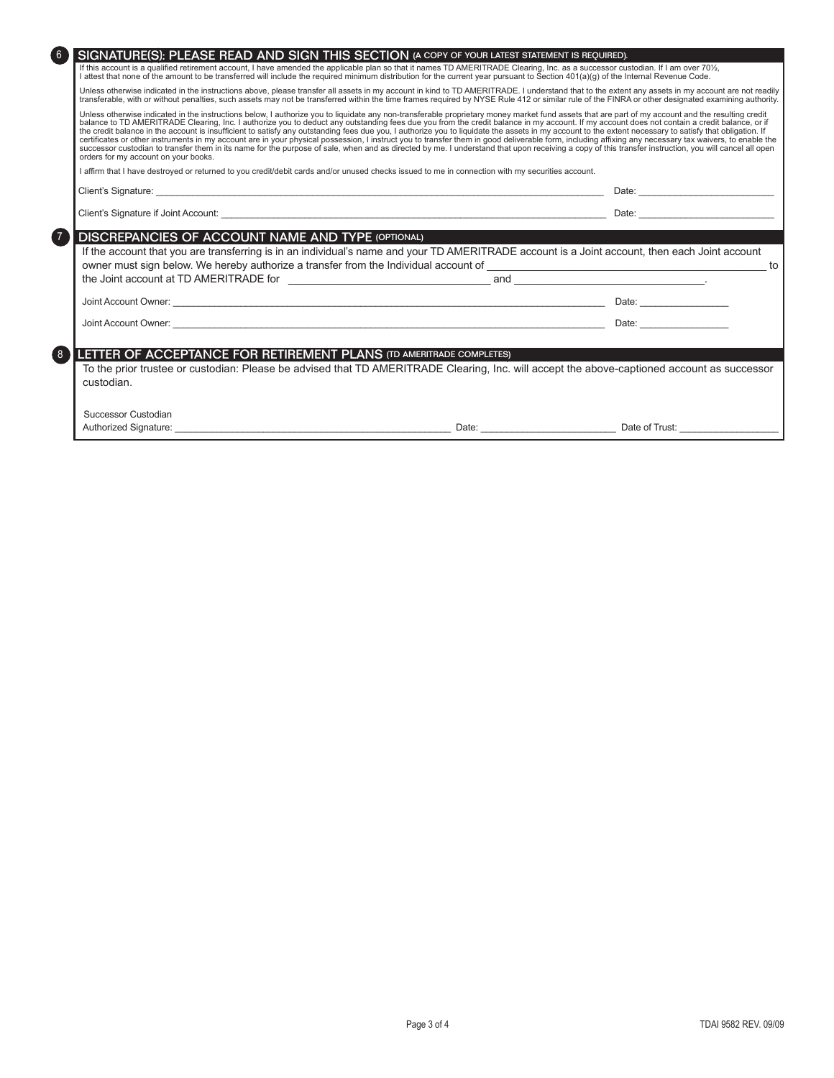| $6 \overline{6}$                                                         | SIGNATURE(S): PLEASE READ AND SIGN THIS SECTION (A COPY OF YOUR LATEST STATEMENT IS REQUIRED).                                                                                                                                                                                                                                                                                                                                                                                                                                                                                                                                                                                                                                                                                                                                                                                                                                                                                                                                 |                                                                                                                                                                                                                                |
|--------------------------------------------------------------------------|--------------------------------------------------------------------------------------------------------------------------------------------------------------------------------------------------------------------------------------------------------------------------------------------------------------------------------------------------------------------------------------------------------------------------------------------------------------------------------------------------------------------------------------------------------------------------------------------------------------------------------------------------------------------------------------------------------------------------------------------------------------------------------------------------------------------------------------------------------------------------------------------------------------------------------------------------------------------------------------------------------------------------------|--------------------------------------------------------------------------------------------------------------------------------------------------------------------------------------------------------------------------------|
|                                                                          | If this account is a qualified retirement account, I have amended the applicable plan so that it names TD AMERITRADE Clearing, Inc. as a successor custodian. If I am over 70%,<br>I attest that none of the amount to be transferred will include the required minimum distribution for the current year pursuant to Section 401(a)(q) of the Internal Revenue Code.                                                                                                                                                                                                                                                                                                                                                                                                                                                                                                                                                                                                                                                          |                                                                                                                                                                                                                                |
|                                                                          | Unless otherwise indicated in the instructions above, please transfer all assets in my account in kind to TD AMERITRADE. I understand that to the extent any assets in my account are not readily<br>transferable, with or without penalties, such assets may not be transferred within the time frames required by NYSE Rule 412 or similar rule of the FINRA or other designated examining authority.                                                                                                                                                                                                                                                                                                                                                                                                                                                                                                                                                                                                                        |                                                                                                                                                                                                                                |
| orders for my account on your books.                                     | Unless otherwise indicated in the instructions below, I authorize you to liquidate any non-transferable proprietary money market fund assets that are part of my account and the resulting credit<br>balance to TD AMERITRADE Clearing, Inc. I authorize you to deduct any outstanding fees due you from the credit balance in my account. If my account does not contain a credit balance, or if<br>the credit balance in the account is insufficient to satisfy any outstanding fees due you, I authorize you to liquidate the assets in my account to the extent necessary to satisfy that obligation. If<br>certificates or other instruments in my account are in your physical possession, I instruct you to transfer them in good deliverable form, including affixing any necessary tax waivers, to enable the<br>successor custodian to transfer them in its name for the purpose of sale, when and as directed by me. I understand that upon receiving a copy of this transfer instruction, you will cancel all open |                                                                                                                                                                                                                                |
|                                                                          | I affirm that I have destroyed or returned to you credit/debit cards and/or unused checks issued to me in connection with my securities account.                                                                                                                                                                                                                                                                                                                                                                                                                                                                                                                                                                                                                                                                                                                                                                                                                                                                               |                                                                                                                                                                                                                                |
|                                                                          |                                                                                                                                                                                                                                                                                                                                                                                                                                                                                                                                                                                                                                                                                                                                                                                                                                                                                                                                                                                                                                | Date: <u>________________________</u>                                                                                                                                                                                          |
|                                                                          |                                                                                                                                                                                                                                                                                                                                                                                                                                                                                                                                                                                                                                                                                                                                                                                                                                                                                                                                                                                                                                |                                                                                                                                                                                                                                |
| $\sqrt{7}$                                                               |                                                                                                                                                                                                                                                                                                                                                                                                                                                                                                                                                                                                                                                                                                                                                                                                                                                                                                                                                                                                                                |                                                                                                                                                                                                                                |
| <b>DISCREPANCIES OF ACCOUNT NAME AND TYPE (OPTIONAL)</b>                 | If the account that you are transferring is in an individual's name and your TD AMERITRADE account is a Joint account, then each Joint account                                                                                                                                                                                                                                                                                                                                                                                                                                                                                                                                                                                                                                                                                                                                                                                                                                                                                 |                                                                                                                                                                                                                                |
|                                                                          |                                                                                                                                                                                                                                                                                                                                                                                                                                                                                                                                                                                                                                                                                                                                                                                                                                                                                                                                                                                                                                |                                                                                                                                                                                                                                |
|                                                                          |                                                                                                                                                                                                                                                                                                                                                                                                                                                                                                                                                                                                                                                                                                                                                                                                                                                                                                                                                                                                                                |                                                                                                                                                                                                                                |
|                                                                          |                                                                                                                                                                                                                                                                                                                                                                                                                                                                                                                                                                                                                                                                                                                                                                                                                                                                                                                                                                                                                                |                                                                                                                                                                                                                                |
|                                                                          |                                                                                                                                                                                                                                                                                                                                                                                                                                                                                                                                                                                                                                                                                                                                                                                                                                                                                                                                                                                                                                | Date: the contract of the contract of the contract of the contract of the contract of the contract of the contract of the contract of the contract of the contract of the contract of the contract of the contract of the cont |
|                                                                          |                                                                                                                                                                                                                                                                                                                                                                                                                                                                                                                                                                                                                                                                                                                                                                                                                                                                                                                                                                                                                                |                                                                                                                                                                                                                                |
| LETTER OF ACCEPTANCE FOR RETIREMENT PLANS (TD AMERITRADE COMPLETES)<br>8 |                                                                                                                                                                                                                                                                                                                                                                                                                                                                                                                                                                                                                                                                                                                                                                                                                                                                                                                                                                                                                                |                                                                                                                                                                                                                                |
| custodian.                                                               | To the prior trustee or custodian: Please be advised that TD AMERITRADE Clearing, Inc. will accept the above-captioned account as successor                                                                                                                                                                                                                                                                                                                                                                                                                                                                                                                                                                                                                                                                                                                                                                                                                                                                                    |                                                                                                                                                                                                                                |
| Successor Custodian                                                      |                                                                                                                                                                                                                                                                                                                                                                                                                                                                                                                                                                                                                                                                                                                                                                                                                                                                                                                                                                                                                                |                                                                                                                                                                                                                                |
| Authorized Signature:                                                    |                                                                                                                                                                                                                                                                                                                                                                                                                                                                                                                                                                                                                                                                                                                                                                                                                                                                                                                                                                                                                                | Date of Trust:                                                                                                                                                                                                                 |